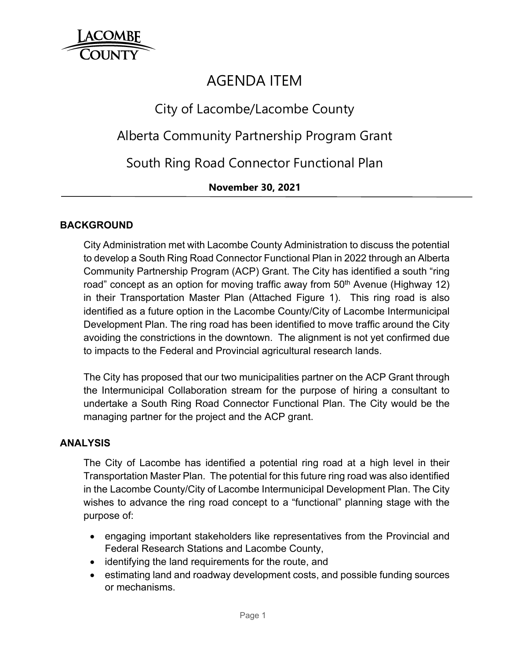

# AGENDA ITEM

## City of Lacombe/Lacombe County

## Alberta Community Partnership Program Grant

South Ring Road Connector Functional Plan

### **November 30, 2021**

### **BACKGROUND**

City Administration met with Lacombe County Administration to discuss the potential to develop a South Ring Road Connector Functional Plan in 2022 through an Alberta Community Partnership Program (ACP) Grant. The City has identified a south "ring road" concept as an option for moving traffic away from  $50<sup>th</sup>$  Avenue (Highway 12) in their Transportation Master Plan (Attached Figure 1). This ring road is also identified as a future option in the Lacombe County/City of Lacombe Intermunicipal Development Plan. The ring road has been identified to move traffic around the City avoiding the constrictions in the downtown. The alignment is not yet confirmed due to impacts to the Federal and Provincial agricultural research lands.

The City has proposed that our two municipalities partner on the ACP Grant through the Intermunicipal Collaboration stream for the purpose of hiring a consultant to undertake a South Ring Road Connector Functional Plan. The City would be the managing partner for the project and the ACP grant.

#### **ANALYSIS**

The City of Lacombe has identified a potential ring road at a high level in their Transportation Master Plan. The potential for this future ring road was also identified in the Lacombe County/City of Lacombe Intermunicipal Development Plan. The City wishes to advance the ring road concept to a "functional" planning stage with the purpose of:

- engaging important stakeholders like representatives from the Provincial and Federal Research Stations and Lacombe County,
- identifying the land requirements for the route, and
- estimating land and roadway development costs, and possible funding sources or mechanisms.